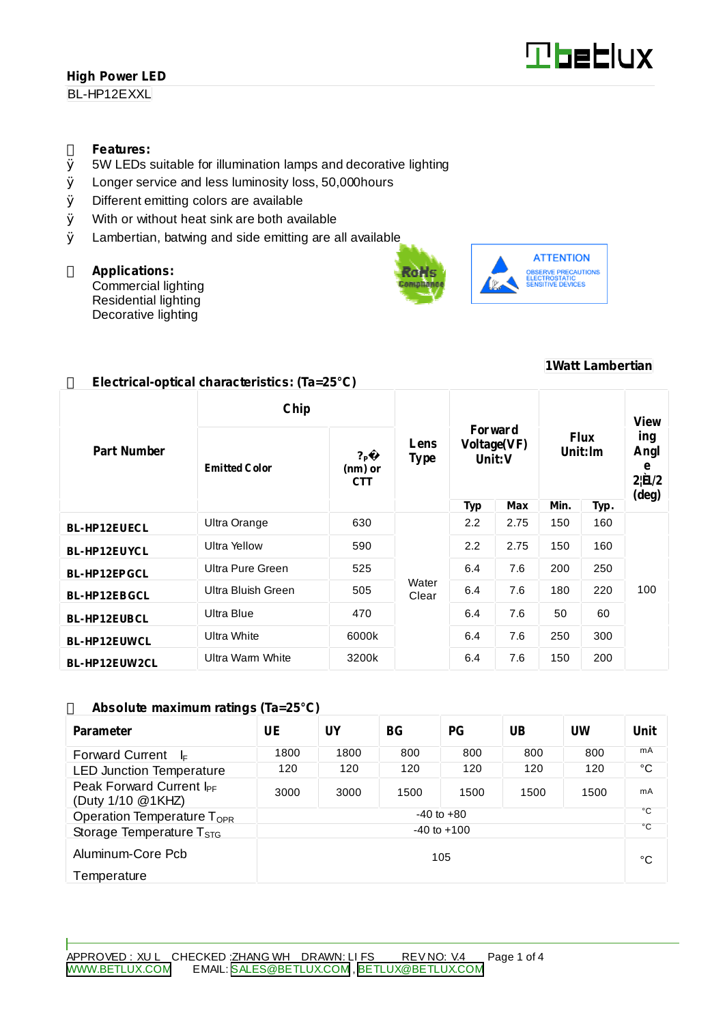BL-HP12EXXL

### **Features:**

- Ø 5W LEDs suitable for illumination lamps and decorative lighting
- Ø Longer service and less luminosity loss, 50,000hours
- Ø Different emitting colors are available
- Ø With or without heat sink are both available
- Ø Lambertian, batwing and side emitting are all available

### **Applications:**

Commercial lighting Residential lighting Decorative lighting





### **1Watt Lambertian**

| Chip                |                      |                                                                  |                |                                  |      |                        | View |                                                         |
|---------------------|----------------------|------------------------------------------------------------------|----------------|----------------------------------|------|------------------------|------|---------------------------------------------------------|
| <b>Part Number</b>  | <b>Emitted Color</b> | Lens<br>$?_{\mathsf{P}}$<br><b>Type</b><br>(nm) or<br><b>CTT</b> |                | Forward<br>Voltage(VF)<br>Unit:V |      | <b>Flux</b><br>Unit:lm |      | ing<br>Angl<br>e<br>$2 \mathbf{\hat{H}} /2$<br>$(\deg)$ |
|                     |                      |                                                                  |                | <b>Typ</b>                       | Max  | Min.                   | Typ. |                                                         |
| <b>BL-HP12EUECL</b> | Ultra Orange         | 630                                                              | Water<br>Clear | 2.2                              | 2.75 | 150                    | 160  | 100                                                     |
| <b>BL-HP12EUYCL</b> | Ultra Yellow         | 590                                                              |                | 2.2                              | 2.75 | 150                    | 160  |                                                         |
| <b>BL-HP12EPGCL</b> | Ultra Pure Green     | 525                                                              |                | 6.4                              | 7.6  | 200                    | 250  |                                                         |
| <b>BL-HP12EBGCL</b> | Ultra Bluish Green   | 505                                                              |                | 6.4                              | 7.6  | 180                    | 220  |                                                         |
| <b>BL-HP12EUBCL</b> | Ultra Blue           | 470                                                              |                | 6.4                              | 7.6  | 50                     | 60   |                                                         |
| <b>BL-HP12EUWCL</b> | <b>Ultra White</b>   | 6000k                                                            |                | 6.4                              | 7.6  | 250                    | 300  |                                                         |
| BL-HP12EUW2CL       | Ultra Warm White     | 3200k                                                            |                | 6.4                              | 7.6  | 150                    | 200  |                                                         |

### **Absolute maximum ratings (Ta=25°C)**

| <b>Parameter</b>                                          | UE             | UY   | BG <sub>r</sub> | PG   | $\overline{\text{UB}}$ | UW   | Unit     |
|-----------------------------------------------------------|----------------|------|-----------------|------|------------------------|------|----------|
| <b>Forward Current</b><br>ŀ⊧                              | 1800           | 1800 | 800             | 800  | 800                    | 800  | mA       |
| <b>LED Junction Temperature</b>                           | 120            | 120  | 120             | 120  | 120                    | 120  | °C       |
| Peak Forward Current I <sub>PF</sub><br>(Duty 1/10 @1KHZ) | 3000           | 3000 | 1500            | 1500 | 1500                   | 1500 | mA<br>۰c |
| Operation Temperature T <sub>OPR</sub>                    | $-40$ to $+80$ |      |                 |      |                        |      |          |
| $-40$ to $+100$<br>Storage Temperature T <sub>STG</sub>   |                |      |                 | ۰c   |                        |      |          |
| Aluminum-Core Pcb<br>105                                  |                |      |                 |      | °C                     |      |          |
| Temperature                                               |                |      |                 |      |                        |      |          |

## **Electrical-optical characteristics: (Ta=25°C)**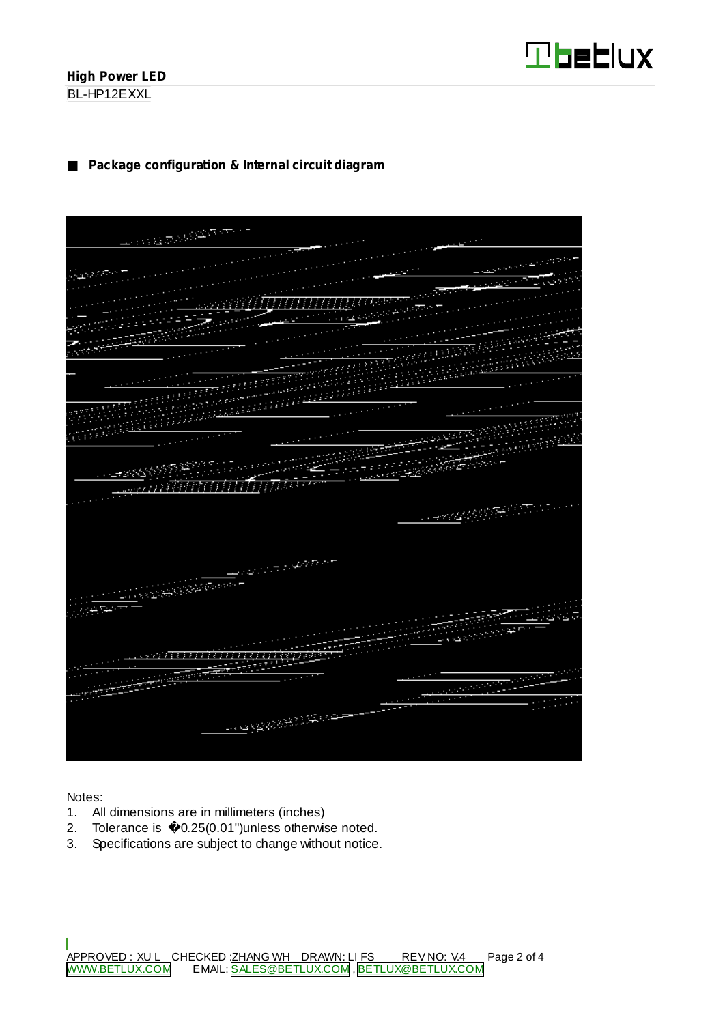BL-HP12EXXL

## **Package configuration & Internal circuit diagram**

| <b>PERSONAL PROPERTY</b>              |                                         |
|---------------------------------------|-----------------------------------------|
|                                       |                                         |
|                                       |                                         |
|                                       |                                         |
|                                       |                                         |
| <u> МИНИЦИ (1999-1995) — Велико С</u> |                                         |
| <u>waani iliji</u>                    |                                         |
| e a componentation                    |                                         |
|                                       |                                         |
|                                       |                                         |
|                                       |                                         |
|                                       |                                         |
|                                       |                                         |
|                                       |                                         |
|                                       |                                         |
|                                       |                                         |
|                                       |                                         |
|                                       |                                         |
|                                       | <b>WARRENT COMPOS</b>                   |
|                                       | <b>Property of the Company</b>          |
|                                       | فللمليخ                                 |
|                                       |                                         |
| 을라                                    |                                         |
| <b>SERVER STATES</b>                  |                                         |
|                                       |                                         |
|                                       |                                         |
|                                       | <b>CONTRACTOR</b>                       |
|                                       |                                         |
|                                       |                                         |
|                                       |                                         |
|                                       |                                         |
| <b>Contract of the Second Second</b>  |                                         |
|                                       |                                         |
|                                       |                                         |
| <b>CONSTRUCTION</b>                   |                                         |
| ang m                                 |                                         |
|                                       |                                         |
|                                       | <b>DESCRIPTION</b><br><b>Contractor</b> |
|                                       | <b>PARTIES</b>                          |
|                                       |                                         |
|                                       |                                         |
| <b>Management</b>                     |                                         |
|                                       |                                         |
|                                       | تتعي                                    |
|                                       | $\cdots$                                |
| <b>BASE OF BUILDING</b>               |                                         |
|                                       |                                         |
|                                       |                                         |
|                                       |                                         |
|                                       |                                         |

Notes:

- 1. All dimensions are in millimeters (inches)
- 2. Tolerance is 0.25(0.01")unless otherwise noted.
- 3. Specifications are subject to change without notice.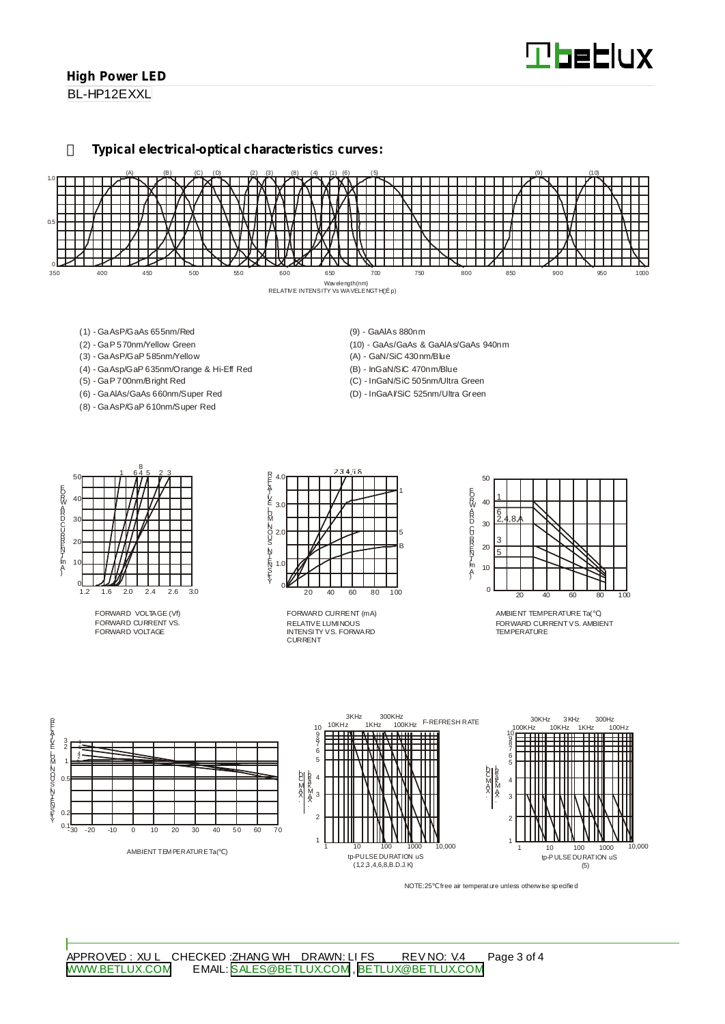BL-HP12EXXL

#### **Typical electrical-optical characteristics curves:**



- (1) GaAsP/GaAs 655nm/Red
- (2) GaP 570nm/Yellow Green
- (3) GaAsP/GaP 585nm/Yellow
- (4) GaAsp/GaP 635nm/Orange & Hi-Eff Red
- (5) GaP 700nm/Bright Red
- (6) GaAlAs/GaAs 660nm/Super Red
- (8) GaAsP/GaP 610nm/Super Red
- (9) GaAlAs 880nm
- (10) GaAs/GaAs & GaAlAs/GaAs 940nm
- (A) GaN/SiC 430nm/Blue
- (B) InGaN/SiC 470nm/Blue
- (C) InGaN/SiC 505nm/Ultra Green
- (D) InGaAl/SiC 525nm/Ultra Green



FORWARD VOLTAGE (Vf) FORWARD CURRENT VS. FORWARD VOLTAGE



RELATIVE LUMINOUS INTENSITY VS. FORWARD CURRENT FORWARD CURRENT (mA)



AMBIENT TEMPERATURE Ta( ) FORWARD CURRENTVS. AMBIENT TEMPERATURE



NOTE:25 free air temperature unless otherwise specified